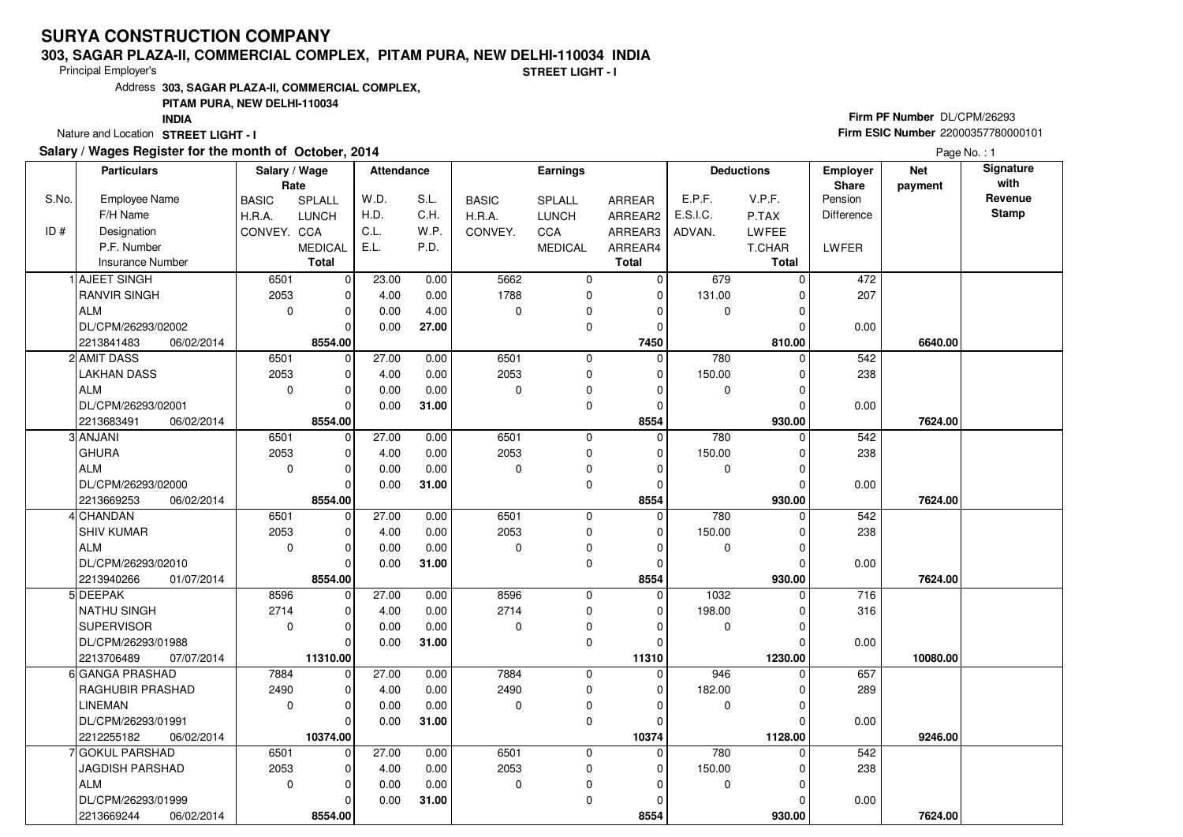#### **303, SAGAR PLAZA-II, COMMERCIAL COMPLEX, PITAM PURA, NEW DELHI-110034 INDIA**

Principal Employer's

**STREET LIGHT - I**

Address**303, SAGAR PLAZA-II, COMMERCIAL COMPLEX,**

## **PITAM PURA, NEW DELHI-110034**

**INDIA**

Nature and Location STREET LIGHT - I

## **Salary / Wages Register for the month of October, 2014**

# **Firm PF Number** DL/CPM/26293 **Firm ESIC Number** <sup>22000357780000101</sup>

Page No. : 1

|       | <b>Particulars</b>       | Salary / Wage<br>Rate |                | <b>Attendance</b> |       |              | <b>Earnings</b> |                | <b>Deductions</b> |              | <b>Employer</b><br>Share | <b>Net</b><br>payment | Signature<br>with |
|-------|--------------------------|-----------------------|----------------|-------------------|-------|--------------|-----------------|----------------|-------------------|--------------|--------------------------|-----------------------|-------------------|
| S.No. | <b>Employee Name</b>     | <b>BASIC</b>          | SPLALL         | W.D.              | S.L.  | <b>BASIC</b> | SPLALL          | <b>ARREAR</b>  | E.P.F.            | V.P.F.       | Pension                  |                       | Revenue           |
|       | F/H Name                 | H.R.A.                | <b>LUNCH</b>   | H.D.              | C.H.  | H.R.A.       | <b>LUNCH</b>    | ARREAR2        | E.S.I.C.          | P.TAX        | Difference               |                       | Stamp             |
| ID#   | Designation              | CONVEY. CCA           |                | C.L.              | W.P.  | CONVEY.      | CCA             | ARREAR3        | ADVAN.            | LWFEE        |                          |                       |                   |
|       | P.F. Number              |                       | <b>MEDICAL</b> | E.L.              | P.D.  |              | <b>MEDICAL</b>  | ARREAR4        |                   | T.CHAR       | LWFER                    |                       |                   |
|       | Insurance Number         |                       | <b>Total</b>   |                   |       |              |                 | <b>Total</b>   |                   | <b>Total</b> |                          |                       |                   |
|       | <b>1 AJEET SINGH</b>     | 6501                  | 0              | 23.00             | 0.00  | 5662         | 0               | 0              | 679               | $\Omega$     | 472                      |                       |                   |
|       | <b>RANVIR SINGH</b>      | 2053                  | $\mathbf 0$    | 4.00              | 0.00  | 1788         | 0               | $\Omega$       | 131.00            | $\Omega$     | 207                      |                       |                   |
|       | ALM                      | $\mathbf 0$           | $\mathbf 0$    | 0.00              | 4.00  | $\mathbf 0$  | 0               | 0              | 0                 | 0            |                          |                       |                   |
|       | DL/CPM/26293/02002       |                       | $\Omega$       | 0.00              | 27.00 |              | 0               | $\Omega$       |                   | 0            | 0.00                     |                       |                   |
|       | 06/02/2014<br>2213841483 |                       | 8554.00        |                   |       |              |                 | 7450           |                   | 810.00       |                          | 6640.00               |                   |
|       | 2 AMIT DASS              | 6501                  | $\mathbf 0$    | 27.00             | 0.00  | 6501         | 0               | $\overline{0}$ | 780               | $\Omega$     | 542                      |                       |                   |
|       | <b>LAKHAN DASS</b>       | 2053                  | $\mathbf 0$    | 4.00              | 0.00  | 2053         | 0               | $\Omega$       | 150.00            | $\Omega$     | 238                      |                       |                   |
|       | ALM                      | $\mathbf 0$           | $\mathbf 0$    | 0.00              | 0.00  | $\mathbf 0$  | 0               | $\Omega$       | 0                 | $\Omega$     |                          |                       |                   |
|       | DL/CPM/26293/02001       |                       | $\Omega$       | 0.00              | 31.00 |              | 0               | $\Omega$       |                   | $\Omega$     | 0.00                     |                       |                   |
|       | 2213683491<br>06/02/2014 |                       | 8554.00        |                   |       |              |                 | 8554           |                   | 930.00       |                          | 7624.00               |                   |
|       | 3 ANJANI                 | 6501                  | $\mathbf 0$    | 27.00             | 0.00  | 6501         | 0               | $\Omega$       | 780               | U            | 542                      |                       |                   |
|       | <b>GHURA</b>             | 2053                  | $\mathbf 0$    | 4.00              | 0.00  | 2053         | 0               | 0              | 150.00            | 0            | 238                      |                       |                   |
|       | <b>ALM</b>               | $\mathbf 0$           | $\mathbf 0$    | 0.00              | 0.00  | $\Omega$     | 0               | 0              | $\mathbf 0$       | $\Omega$     |                          |                       |                   |
|       | DL/CPM/26293/02000       |                       | $\Omega$       | 0.00              | 31.00 |              | 0               | $\Omega$       |                   | 0            | 0.00                     |                       |                   |
|       | 06/02/2014<br>2213669253 |                       | 8554.00        |                   |       |              |                 | 8554           |                   | 930.00       |                          | 7624.00               |                   |
|       | 4 CHANDAN                | 6501                  | $\overline{0}$ | 27.00             | 0.00  | 6501         | 0               | $\Omega$       | 780               | $\Omega$     | 542                      |                       |                   |
|       | <b>SHIV KUMAR</b>        | 2053                  | $\mathbf 0$    | 4.00              | 0.00  | 2053         | 0               | 0              | 150.00            | 0            | 238                      |                       |                   |
|       | ALM                      | $\mathbf 0$           | $\Omega$       | 0.00              | 0.00  | $\mathbf 0$  | 0               | 0              | 0                 | $\Omega$     |                          |                       |                   |
|       | DL/CPM/26293/02010       |                       | $\Omega$       | 0.00              | 31.00 |              | 0               | 0              |                   | $\Omega$     | 0.00                     |                       |                   |
|       | 2213940266<br>01/07/2014 |                       | 8554.00        |                   |       |              |                 | 8554           |                   | 930.00       |                          | 7624.00               |                   |
|       | 5 DEEPAK                 | 8596                  | $\mathbf 0$    | $\frac{1}{27.00}$ | 0.00  | 8596         | 0               | $\Omega$       | 1032              | $\Omega$     | 716                      |                       |                   |
|       | <b>NATHU SINGH</b>       | 2714                  | $\mathbf 0$    | 4.00              | 0.00  | 2714         | 0               | 0              | 198.00            | 0            | 316                      |                       |                   |
|       | SUPERVISOR               | $\mathbf 0$           | $\Omega$       | 0.00              | 0.00  | $\Omega$     | 0               | $\Omega$       | 0                 | $\Omega$     |                          |                       |                   |
|       | DL/CPM/26293/01988       |                       | $\Omega$       | 0.00              | 31.00 |              | 0               | $\Omega$       |                   | ŋ            | 0.00                     |                       |                   |
|       | 2213706489<br>07/07/2014 |                       | 11310.00       |                   |       |              |                 | 11310          |                   | 1230.00      |                          | 10080.00              |                   |
|       | 6 GANGA PRASHAD          | 7884                  | $\overline{0}$ | 27.00             | 0.00  | 7884         | 0               | $\mathbf 0$    | 946               | $\Omega$     | 657                      |                       |                   |
|       | <b>RAGHUBIR PRASHAD</b>  | 2490                  | $\Omega$       | 4.00              | 0.00  | 2490         | 0               | $\Omega$       | 182.00            | $\Omega$     | 289                      |                       |                   |
|       | <b>LINEMAN</b>           | $\Omega$              | $\mathbf 0$    | 0.00              | 0.00  | $\mathbf 0$  | 0               | $\Omega$       | 0                 | $\Omega$     |                          |                       |                   |
|       | DL/CPM/26293/01991       |                       | $\Omega$       | 0.00              | 31.00 |              | 0               | $\Omega$       |                   | $\Omega$     | 0.00                     |                       |                   |
|       | 2212255182<br>06/02/2014 |                       | 10374.00       |                   |       |              |                 | 10374          |                   | 1128.00      |                          | 9246.00               |                   |
|       | 7 GOKUL PARSHAD          | 6501                  | 0              | 27.00             | 0.00  | 6501         | 0               | $\mathbf 0$    | 780               | 0            | 542                      |                       |                   |
|       | JAGDISH PARSHAD          | 2053                  | $\Omega$       | 4.00              | 0.00  | 2053         | 0               | 0              | 150.00            | 0            | 238                      |                       |                   |
|       | ALM                      | $\mathbf 0$           | $\mathbf 0$    | 0.00              | 0.00  | 0            | 0               | $\Omega$       | 0                 | $\Omega$     |                          |                       |                   |
|       | DL/CPM/26293/01999       |                       | $\Omega$       | 0.00              | 31.00 |              | 0               | $\Omega$       |                   | 0            | 0.00                     |                       |                   |
|       | 2213669244<br>06/02/2014 |                       | 8554.00        |                   |       |              |                 | 8554           |                   | 930.00       |                          | 7624.00               |                   |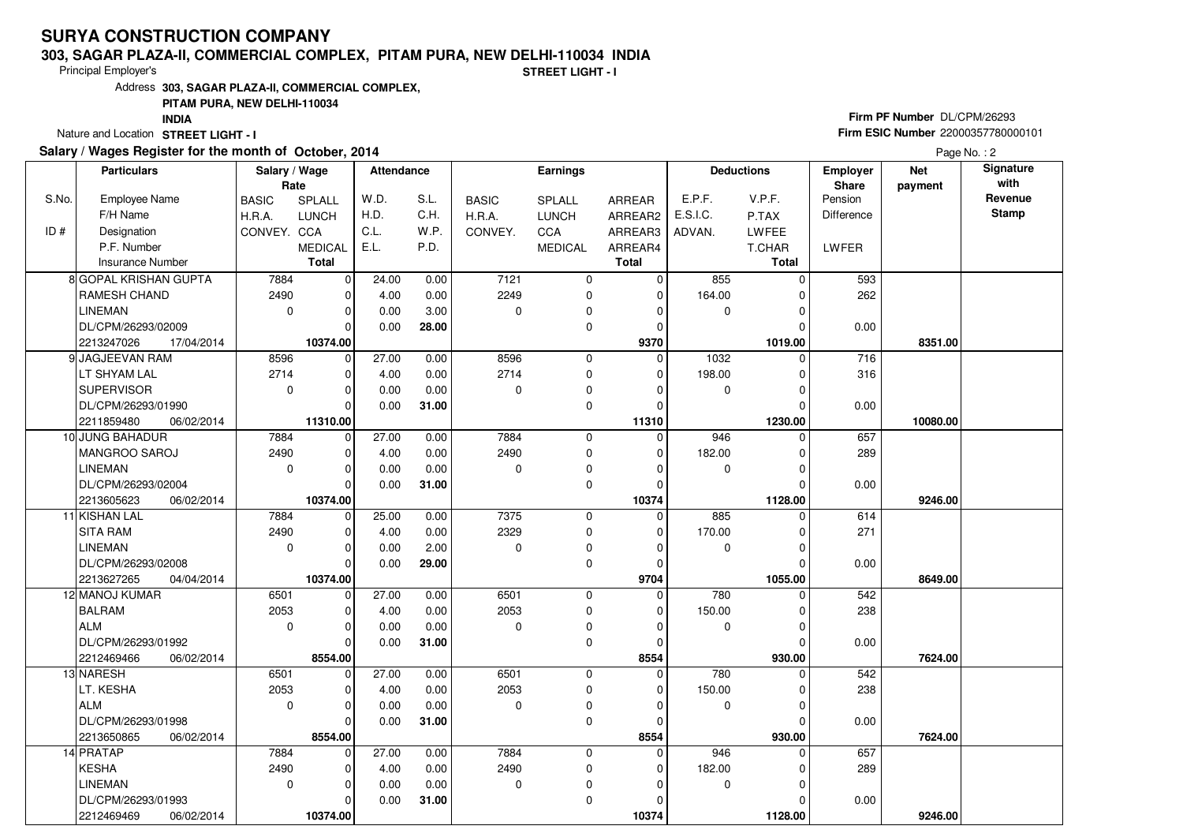#### **303, SAGAR PLAZA-II, COMMERCIAL COMPLEX, PITAM PURA, NEW DELHI-110034 INDIA**

Principal Employer's

**STREET LIGHT - I**

Address**303, SAGAR PLAZA-II, COMMERCIAL COMPLEX,**

### **PITAM PURA, NEW DELHI-110034**

**INDIA**

Nature and Location STREET LIGHT - I

## **Salary / Wages Register for the month of October, 2014**

# **Firm PF Number** DL/CPM/26293 **Firm ESIC Number** <sup>22000357780000101</sup>

Page No. : 2

|       | <b>Particulars</b>       | Salary / Wage<br>Rate |                        | Attendance |       |                  | <b>Earnings</b> |                  | <b>Deductions</b> |              | <b>Employer</b><br>Share | <b>Net</b><br>payment | Signature<br>with |
|-------|--------------------------|-----------------------|------------------------|------------|-------|------------------|-----------------|------------------|-------------------|--------------|--------------------------|-----------------------|-------------------|
| S.No. | <b>Employee Name</b>     | <b>BASIC</b>          | SPLALL                 | W.D.       | S.L.  | <b>BASIC</b>     | <b>SPLALL</b>   | ARREAR           | E.P.F.            | V.P.F.       | Pension                  |                       | Revenue           |
|       | F/H Name                 | H.R.A.                | <b>LUNCH</b>           | H.D.       | C.H.  | H.R.A.           | <b>LUNCH</b>    | ARREAR2          | E.S.I.C.          | P.TAX        | <b>Difference</b>        |                       | <b>Stamp</b>      |
| ID#   | Designation              | CONVEY. CCA           |                        | C.L.       | W.P.  | CONVEY.          | CCA             | ARREAR3          | ADVAN.            | LWFEE        |                          |                       |                   |
|       | P.F. Number              |                       | <b>MEDICAL</b>         | E.L.       | P.D.  |                  | <b>MEDICAL</b>  | ARREAR4          |                   | T.CHAR       | LWFER                    |                       |                   |
|       | <b>Insurance Number</b>  |                       | <b>Total</b>           |            |       |                  |                 | <b>Total</b>     |                   | <b>Total</b> |                          |                       |                   |
|       | 8 GOPAL KRISHAN GUPTA    | 7884                  | $\mathbf 0$            | 24.00      | 0.00  | 7121             | $\mathbf 0$     | 0                | 855               | $\Omega$     | 593                      |                       |                   |
|       | <b>RAMESH CHAND</b>      | 2490                  | $\mathbf 0$            | 4.00       | 0.00  | 2249             | 0               | $\mathbf 0$      | 164.00            |              | 262                      |                       |                   |
|       | <b>LINEMAN</b>           | $\mathbf 0$           | $\mathbf 0$            | 0.00       | 3.00  | $\Omega$         | $\mathbf 0$     | 0                | 0                 |              |                          |                       |                   |
|       | DL/CPM/26293/02009       |                       | $\Omega$               | 0.00       | 28.00 |                  | 0               | 0                |                   |              | 0.00                     |                       |                   |
|       | 2213247026<br>17/04/2014 |                       | 10374.00               |            |       |                  |                 | 9370             |                   | 1019.00      |                          | 8351.00               |                   |
|       | 9 JAGJEEVAN RAM          | 8596                  | $\mathbf 0$            | 27.00      | 0.00  | 8596             | 0               | $\Omega$         | 1032              | 0            | 716                      |                       |                   |
|       | LT SHYAM LAL             | 2714                  | $\mathbf 0$            | 4.00       | 0.00  | 2714             | 0               | $\mathbf 0$      | 198.00            | $\Omega$     | 316                      |                       |                   |
|       | <b>SUPERVISOR</b>        | $\mathbf 0$           | $\mathbf 0$            | 0.00       | 0.00  | $\Omega$         | 0               | $\Omega$         | 0                 | O            |                          |                       |                   |
|       | DL/CPM/26293/01990       |                       | $\Omega$               | 0.00       | 31.00 |                  | $\mathbf 0$     | $\Omega$         |                   | $\Omega$     | 0.00                     |                       |                   |
|       | 2211859480<br>06/02/2014 |                       | 11310.00               |            |       |                  |                 | 11310            |                   | 1230.00      |                          | 10080.00              |                   |
|       | 10 JUNG BAHADUR          | 7884                  | $\mathbf 0$            | 27.00      | 0.00  | 7884             | $\mathbf 0$     | $\Omega$         | 946               | 0            | 657                      |                       |                   |
|       | MANGROO SAROJ            | 2490                  | 0                      | 4.00       | 0.00  | 2490             | $\mathbf 0$     | 0                | 182.00            | 0            | 289                      |                       |                   |
|       | <b>LINEMAN</b>           | $\mathbf 0$           | $\mathbf 0$            | 0.00       | 0.00  | $\Omega$         | 0               | $\Omega$         | 0                 |              |                          |                       |                   |
|       | DL/CPM/26293/02004       |                       | $\Omega$               | 0.00       | 31.00 |                  | 0               | 0                |                   |              | 0.00                     |                       |                   |
|       | 2213605623<br>06/02/2014 |                       | 10374.00               |            |       |                  |                 | 10374            |                   | 1128.00      |                          | 9246.00               |                   |
|       | 11 KISHAN LAL            | 7884                  | 0                      | 25.00      | 0.00  | 7375             | 0               | $\mathbf 0$      | 885               | $\mathbf 0$  | 614                      |                       |                   |
|       | <b>SITA RAM</b>          | 2490                  | $\mathbf 0$            | 4.00       | 0.00  | 2329             | 0               | $\mathbf 0$      | 170.00            |              | 271                      |                       |                   |
|       | <b>LINEMAN</b>           | $\mathbf 0$           | $\mathbf 0$            | 0.00       | 2.00  | $\Omega$         | 0               | 0                | 0                 |              |                          |                       |                   |
|       | DL/CPM/26293/02008       |                       | $\Omega$               | 0.00       | 29.00 |                  | $\mathbf 0$     | $\Omega$         |                   |              | 0.00                     |                       |                   |
|       | 2213627265<br>04/04/2014 |                       | 10374.00               |            |       |                  |                 | 9704             |                   | 1055.00      |                          | 8649.00               |                   |
|       | 12 MANOJ KUMAR           | 6501                  | $\mathbf 0$            | 27.00      | 0.00  | 6501             | $\mathbf 0$     | $\mathbf 0$      | 780               |              | 542                      |                       |                   |
|       | <b>BALRAM</b>            | 2053                  | $\Omega$               | 4.00       | 0.00  | 2053             | 0               | 0                | 150.00            |              | 238                      |                       |                   |
|       | <b>ALM</b>               | $\mathbf 0$           | $\mathbf 0$            | 0.00       | 0.00  | $\Omega$         | $\mathbf 0$     | $\Omega$         | 0                 | $\Omega$     |                          |                       |                   |
|       | DL/CPM/26293/01992       |                       | $\mathbf 0$            | 0.00       | 31.00 |                  | 0               | $\Omega$         |                   |              | 0.00                     |                       |                   |
|       | 2212469466<br>06/02/2014 |                       | 8554.00                |            |       |                  |                 | 8554             |                   | 930.00       |                          | 7624.00               |                   |
|       | 13 NARESH                | 6501                  | $\mathbf 0$            | 27.00      | 0.00  | 6501             | 0               | $\mathbf 0$      | 780               | 0            | 542                      |                       |                   |
|       | LT. KESHA                | 2053                  | $\mathbf 0$            | 4.00       | 0.00  | 2053<br>$\Omega$ | $\mathbf 0$     | $\Omega$         | 150.00            | $\Omega$     | 238                      |                       |                   |
|       | ALM                      | $\mathbf 0$           | $\mathbf 0$            | 0.00       | 0.00  |                  | 0               | $\Omega$         | 0                 |              |                          |                       |                   |
|       | DL/CPM/26293/01998       |                       | $\Omega$               | 0.00       | 31.00 |                  | $\mathbf 0$     | $\Omega$         |                   |              | 0.00                     |                       |                   |
|       | 2213650865<br>06/02/2014 |                       | 8554.00<br>$\mathbf 0$ |            |       | 7884             | $\mathbf 0$     | 8554<br>$\Omega$ |                   | 930.00<br>0  | 657                      | 7624.00               |                   |
|       | 14 PRATAP<br>KESHA       | 7884<br>2490          | $\Omega$               | 27.00      | 0.00  | 2490             |                 | $\Omega$         | 946<br>182.00     |              |                          |                       |                   |
|       | <b>LINEMAN</b>           | $\mathbf 0$           | $\mathbf 0$            | 4.00       | 0.00  | $\mathbf 0$      | 0               | $\Omega$         |                   | $\Omega$     | 289                      |                       |                   |
|       |                          |                       |                        | 0.00       | 0.00  |                  | 0               | $\Omega$         | 0                 |              |                          |                       |                   |
|       | DL/CPM/26293/01993       |                       | 0<br>10374.00          | 0.00       | 31.00 |                  | 0               |                  |                   |              | 0.00                     | 9246.00               |                   |
|       | 2212469469<br>06/02/2014 |                       |                        |            |       |                  |                 | 10374            |                   | 1128.00      |                          |                       |                   |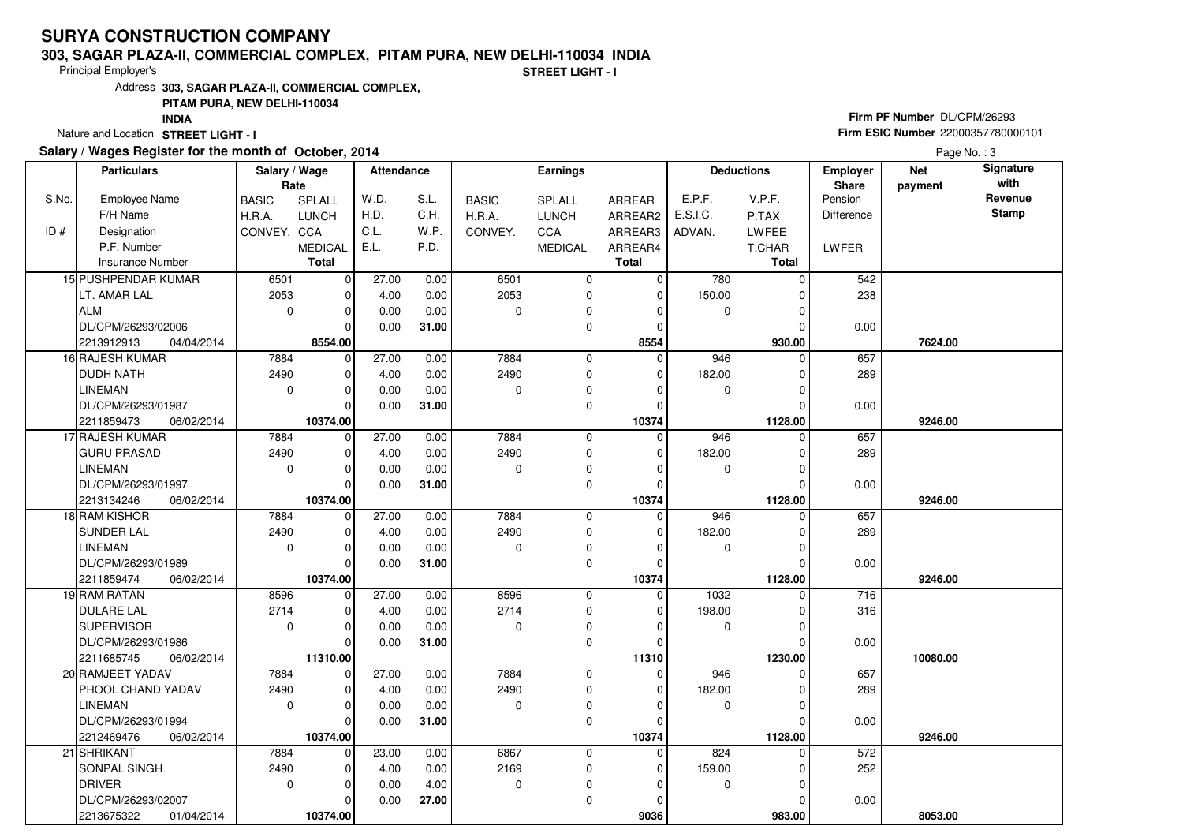#### **303, SAGAR PLAZA-II, COMMERCIAL COMPLEX, PITAM PURA, NEW DELHI-110034 INDIA**

Principal Employer's

**STREET LIGHT - I**

Address**303, SAGAR PLAZA-II, COMMERCIAL COMPLEX,**

## **PITAM PURA, NEW DELHI-110034**

**INDIA**

Nature and Location STREET LIGHT - I

## **Salary / Wages Register for the month of October, 2014**

# **Firm PF Number** DL/CPM/26293 **Firm ESIC Number** <sup>22000357780000101</sup>

Page No.: 3

|       | <b>Particulars</b>                           | Salary / Wage<br>Rate |                         | <b>Attendance</b> |       |              | Earnings       |              | <b>Deductions</b> |              | <b>Net</b><br><b>Employer</b><br>Share<br>payment |          | Signature<br>with |
|-------|----------------------------------------------|-----------------------|-------------------------|-------------------|-------|--------------|----------------|--------------|-------------------|--------------|---------------------------------------------------|----------|-------------------|
| S.No. | <b>Employee Name</b>                         | <b>BASIC</b>          | SPLALL                  | W.D.              | S.L.  | <b>BASIC</b> | SPLALL         | ARREAR       | E.P.F.            | V.P.F.       | Pension                                           |          | Revenue           |
|       | F/H Name                                     | H.R.A.                | <b>LUNCH</b>            | H.D.              | C.H.  | H.R.A.       | <b>LUNCH</b>   | ARREAR2      | E.S.I.C.          | P.TAX        | Difference                                        |          | Stamp             |
| ID#   | Designation                                  | CONVEY. CCA           |                         | C.L.              | W.P.  | CONVEY.      | CCA            | ARREAR3      | ADVAN.            | LWFEE        |                                                   |          |                   |
|       | P.F. Number                                  |                       | <b>MEDICAL</b>          | E.L.              | P.D.  |              | <b>MEDICAL</b> | ARREAR4      |                   | T.CHAR       | <b>LWFER</b>                                      |          |                   |
|       | Insurance Number                             |                       | <b>Total</b>            |                   |       |              |                | <b>Total</b> |                   | <b>Total</b> |                                                   |          |                   |
|       | 15 PUSHPENDAR KUMAR                          | 6501                  | $\mathbf 0$             | 27.00             | 0.00  | 6501         | 0              | $\Omega$     | 780               | $\Omega$     | 542                                               |          |                   |
|       | LT. AMAR LAL                                 | 2053                  | $\mathbf 0$             | 4.00              | 0.00  | 2053         | 0              | $\mathbf 0$  | 150.00            | $\Omega$     | 238                                               |          |                   |
|       | ALM                                          | $\Omega$              | $\mathbf 0$             | 0.00              | 0.00  | $\Omega$     | 0              | 0            | $\mathbf 0$       | $\Omega$     |                                                   |          |                   |
|       | DL/CPM/26293/02006                           |                       | $\Omega$                | 0.00              | 31.00 |              | 0              | $\Omega$     |                   | 0            | 0.00                                              |          |                   |
|       | 04/04/2014<br>2213912913                     |                       | 8554.00                 |                   |       |              |                | 8554         |                   | 930.00       |                                                   | 7624.00  |                   |
|       | 16 RAJESH KUMAR                              | 7884                  | $\mathbf 0$             | 27.00             | 0.00  | 7884         | 0              | $\Omega$     | 946               | $\Omega$     | 657                                               |          |                   |
|       | <b>DUDH NATH</b>                             | 2490                  | 0                       | 4.00              | 0.00  | 2490         | 0              | 0            | 182.00            | 0            | 289                                               |          |                   |
|       | <b>LINEMAN</b>                               | $\mathbf 0$           | $\mathbf 0$             | 0.00              | 0.00  | $\mathbf 0$  | 0              | $\Omega$     | 0                 | 0            |                                                   |          |                   |
|       | DL/CPM/26293/01987                           |                       | $\Omega$                | 0.00              | 31.00 |              | 0              | $\Omega$     |                   | U            | 0.00                                              |          |                   |
|       | 2211859473<br>06/02/2014                     |                       | 10374.00                |                   |       |              |                | 10374        |                   | 1128.00      |                                                   | 9246.00  |                   |
|       | 17 RAJESH KUMAR                              | 7884                  | $\mathbf 0$             | 27.00             | 0.00  | 7884         | 0              | 0            | 946               | $\Omega$     | 657                                               |          |                   |
|       | <b>GURU PRASAD</b>                           | 2490                  | $\Omega$                | 4.00              | 0.00  | 2490         | 0              | 0            | 182.00            | 0            | 289                                               |          |                   |
|       | <b>LINEMAN</b>                               | $\mathbf 0$           | $\mathbf 0$             | 0.00              | 0.00  | 0            | 0              | 0            | 0                 | 0            |                                                   |          |                   |
|       | DL/CPM/26293/01997                           |                       | $\Omega$                | 0.00              | 31.00 |              | 0              | $\Omega$     |                   | O            | 0.00                                              |          |                   |
|       | 2213134246<br>06/02/2014                     |                       | 10374.00                |                   |       |              |                | 10374        |                   | 1128.00      |                                                   | 9246.00  |                   |
|       | 18 RAM KISHOR                                | 7884                  | 0                       | 27.00             | 0.00  | 7884         | 0              | $\Omega$     | 946               | $\Omega$     | 657                                               |          |                   |
|       | <b>SUNDER LAL</b>                            | 2490                  | $\mathbf 0$             | 4.00              | 0.00  | 2490         | 0              | $\Omega$     | 182.00            | 0            | 289                                               |          |                   |
|       | <b>LINEMAN</b>                               | $\Omega$              | $\Omega$                | 0.00              | 0.00  | $\Omega$     | 0              | $\Omega$     | $\mathbf 0$       | $\Omega$     |                                                   |          |                   |
|       | DL/CPM/26293/01989                           |                       | $\Omega$                | 0.00              | 31.00 |              | 0              | $\Omega$     |                   | O            | 0.00                                              |          |                   |
|       | 2211859474<br>06/02/2014                     |                       | 10374.00                |                   |       |              |                | 10374        |                   | 1128.00      |                                                   | 9246.00  |                   |
|       | 19 RAM RATAN                                 | 8596                  | $\mathbf 0$             | 27.00             | 0.00  | 8596         | 0              | $\mathbf 0$  | 1032              | U            | 716                                               |          |                   |
|       | <b>DULARE LAL</b>                            | 2714                  | $\Omega$                | 4.00              | 0.00  | 2714         | 0              | $\Omega$     | 198.00            | 0            | 316                                               |          |                   |
|       | <b>SUPERVISOR</b>                            | $\mathbf 0$           | $\mathbf 0$             | 0.00              | 0.00  | 0            | 0              | $\Omega$     | 0                 | $\Omega$     |                                                   |          |                   |
|       | DL/CPM/26293/01986                           |                       | $\Omega$                | 0.00              | 31.00 |              | 0              | O            |                   | U            | 0.00                                              |          |                   |
|       | 2211685745<br>06/02/2014<br>20 RAMJEET YADAV | 7884                  | 11310.00<br>$\mathbf 0$ | 27.00             | 0.00  | 7884         | 0              | 11310<br>0   | 946               | 1230.00<br>U | 657                                               | 10080.00 |                   |
|       | PHOOL CHAND YADAV                            | 2490                  | $\mathbf 0$             | 4.00              | 0.00  | 2490         | 0              | $\Omega$     | 182.00            | $\Omega$     | 289                                               |          |                   |
|       | LINEMAN                                      | $\Omega$              | $\Omega$                | 0.00              | 0.00  | $\Omega$     | 0              | O            | $\mathbf 0$       | O            |                                                   |          |                   |
|       | DL/CPM/26293/01994                           |                       | $\Omega$                | 0.00              | 31.00 |              | 0              | O            |                   | U            | 0.00                                              |          |                   |
|       | 2212469476<br>06/02/2014                     |                       | 10374.00                |                   |       |              |                | 10374        |                   | 1128.00      |                                                   | 9246.00  |                   |
|       | 21 SHRIKANT                                  | 7884                  | $\mathbf 0$             | 23.00             | 0.00  | 6867         | 0              | $\Omega$     | 824               | 0            | 572                                               |          |                   |
|       | SONPAL SINGH                                 | 2490                  | $\Omega$                | 4.00              | 0.00  | 2169         | 0              | $\Omega$     | 159.00            | $\Omega$     | 252                                               |          |                   |
|       | <b>DRIVER</b>                                | $\mathbf 0$           | $\mathbf 0$             | 0.00              | 4.00  | $\mathbf 0$  | 0              | 0            | 0                 | $\Omega$     |                                                   |          |                   |
|       | DL/CPM/26293/02007                           |                       | $\Omega$                | 0.00              | 27.00 |              | 0              | ŋ            |                   | 0            | 0.00                                              |          |                   |
|       | 2213675322<br>01/04/2014                     |                       | 10374.00                |                   |       |              |                | 9036         |                   | 983.00       |                                                   | 8053.00  |                   |
|       |                                              |                       |                         |                   |       |              |                |              |                   |              |                                                   |          |                   |